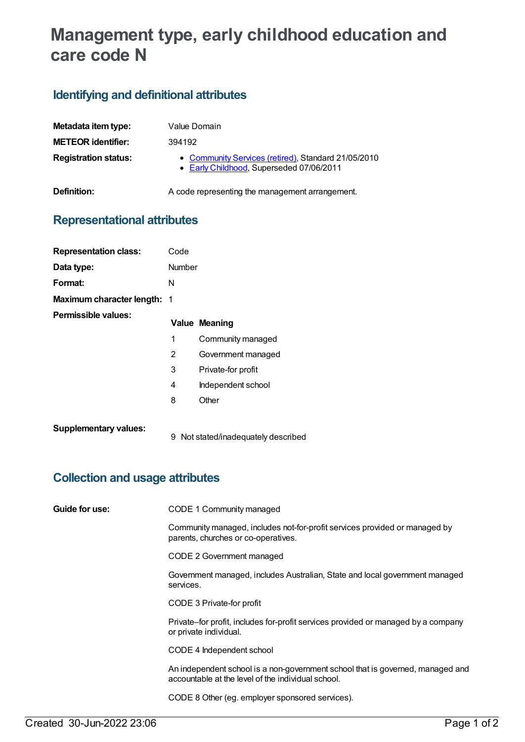# **Management type, early childhood education and care code N**

#### **Identifying and definitional attributes**

| Metadata item type:         | Value Domain                                                                                    |
|-----------------------------|-------------------------------------------------------------------------------------------------|
| <b>METEOR identifier:</b>   | 394192                                                                                          |
| <b>Registration status:</b> | • Community Services (retired), Standard 21/05/2010<br>• Early Childhood, Superseded 07/06/2011 |
| Definition:                 | A code representing the management arrangement.                                                 |

#### **Representational attributes**

| <b>Representation class:</b> | Code           |                                     |
|------------------------------|----------------|-------------------------------------|
| Data type:                   | <b>Number</b>  |                                     |
| Format:                      | N              |                                     |
| Maximum character length: 1  |                |                                     |
| Permissible values:          |                | <b>Value Meaning</b>                |
|                              | 1              | Community managed                   |
|                              | $\overline{2}$ | Government managed                  |
|                              | 3              | Private-for profit                  |
|                              | 4              | Independent school                  |
|                              | 8              | Other                               |
| <b>Supplementary values:</b> |                | 9 Not stated/inadequately described |

### **Collection and usage attributes**

**Guide for use:** CODE 1 Community managed

Community managed, includes not-for-profit services provided or managed by parents, churches or co-operatives.

CODE 2 Government managed

Government managed, includes Australian, State and local government managed services.

CODE 3 Private-for profit

Private–for profit, includes for-profit services provided or managed by a company or private individual.

CODE 4 Independent school

An independent school is a non-government school that is governed, managed and accountable at the level of the individual school.

CODE 8 Other (eg. employer sponsored services).